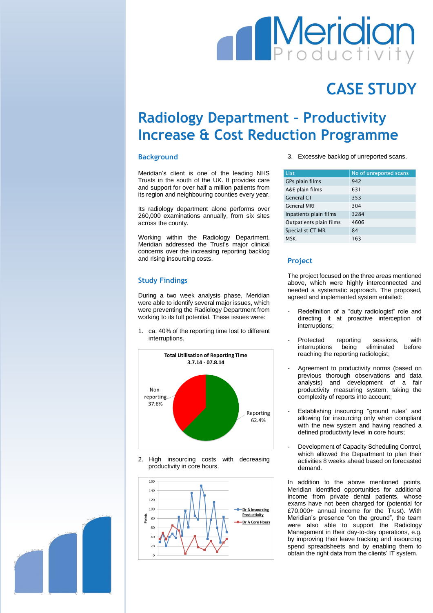# **Meridia**

## **CASE STUDY**

### **Radiology Department – Productivity Increase & Cost Reduction Programme**

#### **Background**

Meridian's client is one of the leading NHS Trusts in the south of the UK. It provides care and support for over half a million patients from its region and neighbouring counties every year.

Its radiology department alone performs over 260,000 examinations annually, from six sites across the county.

Working within the Radiology Department, Meridian addressed the Trust's major clinical concerns over the increasing reporting backlog and rising insourcing costs.

#### **Study Findings**

During a two week analysis phase, Meridian were able to identify several major issues, which were preventing the Radiology Department from working to its full potential. These issues were:

1. ca. 40% of the reporting time lost to different interruptions.



2. High insourcing costs with decreasing productivity in core hours.



3. Excessive backlog of unreported scans.

| No of unreported scans |
|------------------------|
| 942                    |
| 631                    |
| 353                    |
| 304                    |
| 3284                   |
| 4606                   |
| 84                     |
| 163                    |
|                        |

#### **Project**

The project focused on the three areas mentioned above, which were highly interconnected and needed a systematic approach. The proposed, agreed and implemented system entailed:

- Redefinition of a "duty radiologist" role and directing it at proactive interception of interruptions;
- Protected reporting sessions, with<br>interruptions being eliminated before interruptions being eliminated before reaching the reporting radiologist;
- Agreement to productivity norms (based on previous thorough observations and data analysis) and development of a fair productivity measuring system, taking the complexity of reports into account;
- Establishing insourcing "ground rules" and allowing for insourcing only when compliant with the new system and having reached a defined productivity level in core hours;
- Development of Capacity Scheduling Control, which allowed the Department to plan their activities 8 weeks ahead based on forecasted demand.

In addition to the above mentioned points, Meridian identified opportunities for additional income from private dental patients, whose exams have not been charged for (potential for £70,000+ annual income for the Trust). With Meridian's presence "on the ground", the team were also able to support the Radiology Management in their day-to-day operations, e.g. by improving their leave tracking and insourcing spend spreadsheets and by enabling them to obtain the right data from the clients' IT system.